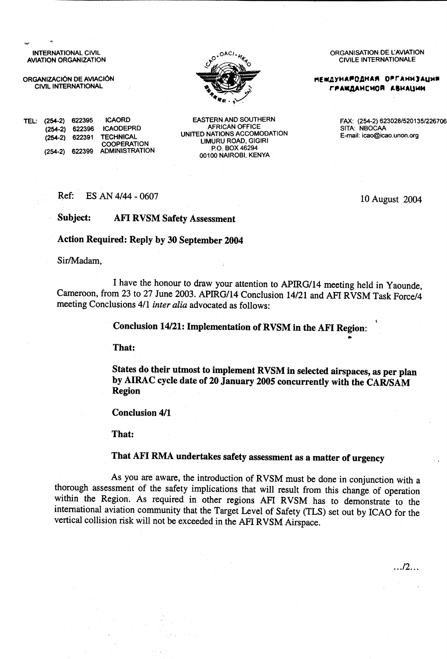**INTERNATIONAL CIVIL AVIATION ORGANIZATION** 

ORGANIZACIÓN DE AVIACIÓN **CIVIL INTERNATIONAL** 



**ICAORD** TEL: (254-2) 622395 **ICAODEPRD**  $(254-2)$  622396 **TECHNICAL** (254-2) 622391 **COOPERATION** (254-2) 622399 ADMINISTRATION

**EASTERN AND SOUTHERN AFRICAN OFFICE** UNITED NATIONS ACCOMODATION **LIMURU ROAD, GIGIRI** P.O. BOX 46294 00100 NAIROBI, KENYA

ORGANISATION DE L'AVIATION **CIVILE INTERNATIONALE** 

**МЕЖДУНАРОДНАЯ ОРГАНИЗАЦИЯ** ГРАЖДАНСМОЙ АВИАЦИИ

> FAX: (254-2) 623028/520135/226706 SITA: NBOCAA E-mail: icao@icao.unon.org

> > 10 August 2004

 $\ldots$ /2...

Ref: ES AN 4/44 - 0607

Subject: **AFI RVSM Safety Assessment** 

**Action Required: Reply by 30 September 2004** 

Sir/Madam,

I have the honour to draw your attention to APIRG/14 meeting held in Yaounde, Cameroon, from 23 to 27 June 2003. APIRG/14 Conclusion 14/21 and AFI RVSM Task Force/4 meeting Conclusions 4/1 inter alia advocated as follows:

Conclusion 14/21: Implementation of RVSM in the AFI Region:

That:

States do their utmost to implement RVSM in selected airspaces, as per plan by AIRAC cycle date of 20 January 2005 concurrently with the CAR/SAM **Region** 

**Conclusion 4/1** 

That:

## That AFI RMA undertakes safety assessment as a matter of urgency

As you are aware, the introduction of RVSM must be done in conjunction with a thorough assessment of the safety implications that will result from this change of operation within the Region. As required in other regions AFI RVSM has to demonstrate to the international aviation community that the Target Level of Safety (TLS) set out by ICAO for the vertical collision risk will not be exceeded in the AFI RVSM Airspace.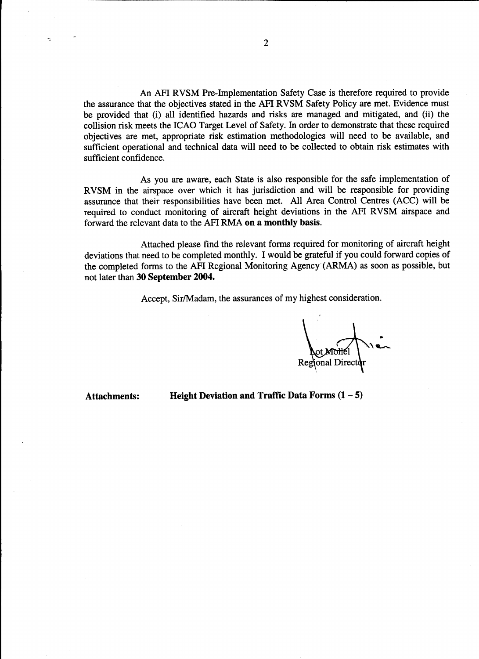An AFI RVSM Pre-Implementation Safety Case is therefore required to provide the assurance that the objectives stated in the AFI RVSM Safety Policy are met. Evidence must be provided that (i) all identified hazards and risks are managed and mitigated, and (ii) the collision risk meets the ICAO Target Level of Safety. In order to demonstrate that these required objectives are met, appropriate risk estimation methodologies will need to be available, and sufficient operational and technical data will need to be collected to obtain risk estimates with sufficient confidence.

As you are aware, each State is also responsible for the safe implementation of RVSM in the airspace over which it has jurisdiction and will be responsible for providing assurance that their responsibilities have been met. All Area Control Centres (ACC) will be required to conduct monitoring of aircraft height deviations in the AFI RVSM airspace and forward the relevant data to the AFI RMA on a monthly basis.

Attached please find the relevant forms required for monitoring of aircraft height deviations that need to be completed monthly. I would be grateful if you could forward copies of the completed forms to the AFI Regional Monitoring Agency (ARMA) as soon as possible, but not later than 30 September 2004.

Accept, Sir/Madam, the assurances of my highest consideration.

**Attachments:** 

Height Deviation and Traffic Data Forms  $(1 – 5)$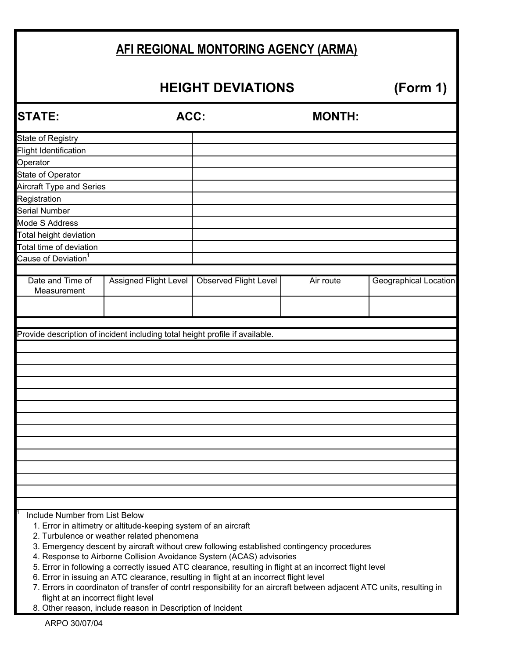|                                                                              |                                                                                                               | AFI REGIONAL MONTORING AGENCY (ARMA)                                                       |                                                                      |                       |  |  |  |  |
|------------------------------------------------------------------------------|---------------------------------------------------------------------------------------------------------------|--------------------------------------------------------------------------------------------|----------------------------------------------------------------------|-----------------------|--|--|--|--|
| <b>HEIGHT DEVIATIONS</b><br>(Form 1)                                         |                                                                                                               |                                                                                            |                                                                      |                       |  |  |  |  |
| <b>STATE:</b>                                                                | ACC:                                                                                                          |                                                                                            | <b>MONTH:</b>                                                        |                       |  |  |  |  |
| <b>State of Registry</b>                                                     |                                                                                                               |                                                                                            |                                                                      |                       |  |  |  |  |
| <b>Flight Identification</b>                                                 |                                                                                                               |                                                                                            |                                                                      |                       |  |  |  |  |
| Operator                                                                     |                                                                                                               |                                                                                            |                                                                      |                       |  |  |  |  |
| State of Operator<br><b>Aircraft Type and Series</b>                         |                                                                                                               |                                                                                            |                                                                      |                       |  |  |  |  |
| Registration                                                                 |                                                                                                               |                                                                                            |                                                                      |                       |  |  |  |  |
| <b>Serial Number</b>                                                         |                                                                                                               |                                                                                            |                                                                      |                       |  |  |  |  |
| <b>Mode S Address</b>                                                        |                                                                                                               |                                                                                            |                                                                      |                       |  |  |  |  |
| Total height deviation                                                       |                                                                                                               |                                                                                            |                                                                      |                       |  |  |  |  |
| Total time of deviation                                                      |                                                                                                               |                                                                                            |                                                                      |                       |  |  |  |  |
| Cause of Deviation <sup>1</sup>                                              |                                                                                                               |                                                                                            |                                                                      |                       |  |  |  |  |
|                                                                              |                                                                                                               |                                                                                            |                                                                      |                       |  |  |  |  |
| Date and Time of<br>Measurement                                              | <b>Assigned Flight Level</b>                                                                                  | <b>Observed Flight Level</b>                                                               | Air route                                                            | Geographical Location |  |  |  |  |
| Provide description of incident including total height profile if available. |                                                                                                               |                                                                                            |                                                                      |                       |  |  |  |  |
|                                                                              |                                                                                                               |                                                                                            |                                                                      |                       |  |  |  |  |
|                                                                              |                                                                                                               |                                                                                            |                                                                      |                       |  |  |  |  |
|                                                                              |                                                                                                               |                                                                                            |                                                                      |                       |  |  |  |  |
|                                                                              |                                                                                                               |                                                                                            |                                                                      |                       |  |  |  |  |
|                                                                              |                                                                                                               |                                                                                            |                                                                      |                       |  |  |  |  |
|                                                                              |                                                                                                               |                                                                                            |                                                                      |                       |  |  |  |  |
|                                                                              |                                                                                                               |                                                                                            |                                                                      |                       |  |  |  |  |
| Include Number from List Below                                               | 1. Error in altimetry or altitude-keeping system of an aircraft<br>2. Turbulence or weather related phenomena | 3. Emergency descent by aircraft without crew following established contingency procedures | 4. Response to Airborne Collision Avoidance System (ACAS) advisories |                       |  |  |  |  |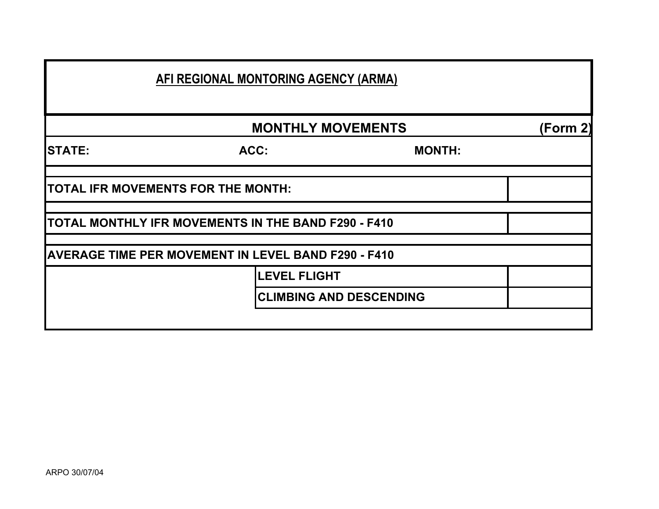|               | AFI REGIONAL MONTORING AGENCY (ARMA)                       |               |          |
|---------------|------------------------------------------------------------|---------------|----------|
|               | <b>MONTHLY MOVEMENTS</b>                                   |               | (Form 2) |
| <b>STATE:</b> | ACC:                                                       | <b>MONTH:</b> |          |
|               | TOTAL IFR MOVEMENTS FOR THE MONTH:                         |               |          |
|               | TOTAL MONTHLY IFR MOVEMENTS IN THE BAND F290 - F410        |               |          |
|               | <b>AVERAGE TIME PER MOVEMENT IN LEVEL BAND F290 - F410</b> |               |          |
|               | <b>LEVEL FLIGHT</b>                                        |               |          |
|               | <b>CLIMBING AND DESCENDING</b>                             |               |          |
|               |                                                            |               |          |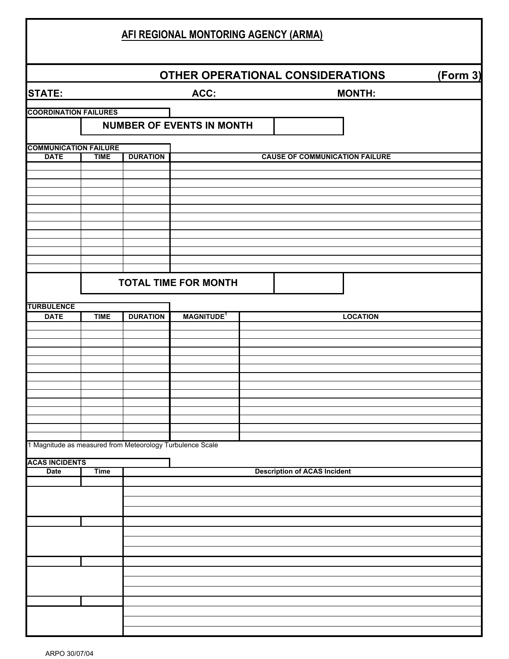|                                                           |             |                 | <b>AFI REGIONAL MONTORING AGENCY (ARMA)</b> |  |                                       |                 |          |
|-----------------------------------------------------------|-------------|-----------------|---------------------------------------------|--|---------------------------------------|-----------------|----------|
|                                                           |             |                 |                                             |  | OTHER OPERATIONAL CONSIDERATIONS      |                 | (Form 3) |
| <b>STATE:</b>                                             |             |                 | ACC:                                        |  | <b>MONTH:</b>                         |                 |          |
| <b>COORDINATION FAILURES</b>                              |             |                 |                                             |  |                                       |                 |          |
|                                                           |             |                 | <b>NUMBER OF EVENTS IN MONTH</b>            |  |                                       |                 |          |
| <b>COMMUNICATION FAILURE</b>                              |             |                 |                                             |  |                                       |                 |          |
| <b>DATE</b>                                               | <b>TIME</b> | <b>DURATION</b> |                                             |  | <b>CAUSE OF COMMUNICATION FAILURE</b> |                 |          |
|                                                           |             |                 |                                             |  |                                       |                 |          |
|                                                           |             |                 |                                             |  |                                       |                 |          |
|                                                           |             |                 |                                             |  |                                       |                 |          |
|                                                           |             |                 |                                             |  |                                       |                 |          |
|                                                           |             |                 |                                             |  |                                       |                 |          |
|                                                           |             |                 |                                             |  |                                       |                 |          |
|                                                           |             |                 | <b>TOTAL TIME FOR MONTH</b>                 |  |                                       |                 |          |
|                                                           |             |                 |                                             |  |                                       |                 |          |
| <b>TURBULENCE</b><br><b>DATE</b>                          | <b>TIME</b> | <b>DURATION</b> | <b>MAGNITUDE<sup>1</sup></b>                |  |                                       | <b>LOCATION</b> |          |
|                                                           |             |                 |                                             |  |                                       |                 |          |
|                                                           |             |                 |                                             |  |                                       |                 |          |
|                                                           |             |                 |                                             |  |                                       |                 |          |
|                                                           |             |                 |                                             |  |                                       |                 |          |
|                                                           |             |                 |                                             |  |                                       |                 |          |
|                                                           |             |                 |                                             |  |                                       |                 |          |
|                                                           |             |                 |                                             |  |                                       |                 |          |
| 1 Magnitude as measured from Meteorology Turbulence Scale |             |                 |                                             |  |                                       |                 |          |
| <b>ACAS INCIDENTS</b>                                     |             |                 |                                             |  |                                       |                 |          |
| <b>Date</b>                                               | <b>Time</b> |                 |                                             |  | <b>Description of ACAS Incident</b>   |                 |          |
|                                                           |             |                 |                                             |  |                                       |                 |          |
|                                                           |             |                 |                                             |  |                                       |                 |          |
|                                                           |             |                 |                                             |  |                                       |                 |          |
|                                                           |             |                 |                                             |  |                                       |                 |          |
|                                                           |             |                 |                                             |  |                                       |                 |          |
|                                                           |             |                 |                                             |  |                                       |                 |          |
|                                                           |             |                 |                                             |  |                                       |                 |          |
|                                                           |             |                 |                                             |  |                                       |                 |          |
|                                                           |             |                 |                                             |  |                                       |                 |          |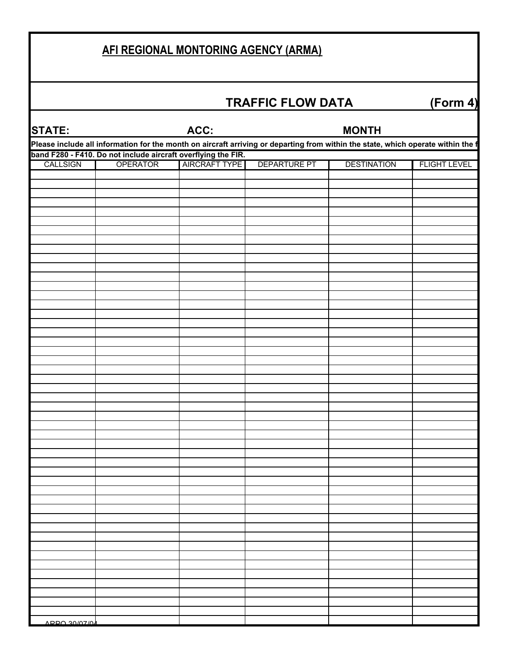## **AFI REGIONAL MONTORING AGENCY (ARMA)**

## **TRAFFIC FLOW DATA (Form 4)**

| <b>STATE:</b>                                                                                                                    |                                                               | ACC:                 |                     | <b>MONTH</b>       |                     |  |  |  |  |
|----------------------------------------------------------------------------------------------------------------------------------|---------------------------------------------------------------|----------------------|---------------------|--------------------|---------------------|--|--|--|--|
| Please include all information for the month on aircraft arriving or departing from within the state, which operate within the f |                                                               |                      |                     |                    |                     |  |  |  |  |
|                                                                                                                                  | band F280 - F410. Do not include aircraft overflying the FIR. |                      |                     |                    |                     |  |  |  |  |
| CALLSIGN                                                                                                                         | <b>OPERATOR</b>                                               | <b>AIRCRAFT TYPE</b> | <b>DEPARTURE PT</b> | <b>DESTINATION</b> | <b>FLIGHT LEVEL</b> |  |  |  |  |
|                                                                                                                                  |                                                               |                      |                     |                    |                     |  |  |  |  |
|                                                                                                                                  |                                                               |                      |                     |                    |                     |  |  |  |  |
|                                                                                                                                  |                                                               |                      |                     |                    |                     |  |  |  |  |
|                                                                                                                                  |                                                               |                      |                     |                    |                     |  |  |  |  |
|                                                                                                                                  |                                                               |                      |                     |                    |                     |  |  |  |  |
|                                                                                                                                  |                                                               |                      |                     |                    |                     |  |  |  |  |
|                                                                                                                                  |                                                               |                      |                     |                    |                     |  |  |  |  |
|                                                                                                                                  |                                                               |                      |                     |                    |                     |  |  |  |  |
|                                                                                                                                  |                                                               |                      |                     |                    |                     |  |  |  |  |
|                                                                                                                                  |                                                               |                      |                     |                    |                     |  |  |  |  |
|                                                                                                                                  |                                                               |                      |                     |                    |                     |  |  |  |  |
|                                                                                                                                  |                                                               |                      |                     |                    |                     |  |  |  |  |
|                                                                                                                                  |                                                               |                      |                     |                    |                     |  |  |  |  |
|                                                                                                                                  |                                                               |                      |                     |                    |                     |  |  |  |  |
|                                                                                                                                  |                                                               |                      |                     |                    |                     |  |  |  |  |
|                                                                                                                                  |                                                               |                      |                     |                    |                     |  |  |  |  |
|                                                                                                                                  |                                                               |                      |                     |                    |                     |  |  |  |  |
|                                                                                                                                  |                                                               |                      |                     |                    |                     |  |  |  |  |
|                                                                                                                                  |                                                               |                      |                     |                    |                     |  |  |  |  |
|                                                                                                                                  |                                                               |                      |                     |                    |                     |  |  |  |  |
|                                                                                                                                  |                                                               |                      |                     |                    |                     |  |  |  |  |
|                                                                                                                                  |                                                               |                      |                     |                    |                     |  |  |  |  |
|                                                                                                                                  |                                                               |                      |                     |                    |                     |  |  |  |  |
|                                                                                                                                  |                                                               |                      |                     |                    |                     |  |  |  |  |
|                                                                                                                                  |                                                               |                      |                     |                    |                     |  |  |  |  |
|                                                                                                                                  |                                                               |                      |                     |                    |                     |  |  |  |  |
|                                                                                                                                  |                                                               |                      |                     |                    |                     |  |  |  |  |
|                                                                                                                                  |                                                               |                      |                     |                    |                     |  |  |  |  |
|                                                                                                                                  |                                                               |                      |                     |                    |                     |  |  |  |  |
|                                                                                                                                  |                                                               |                      |                     |                    |                     |  |  |  |  |
|                                                                                                                                  |                                                               |                      |                     |                    |                     |  |  |  |  |
|                                                                                                                                  |                                                               |                      |                     |                    |                     |  |  |  |  |
|                                                                                                                                  |                                                               |                      |                     |                    |                     |  |  |  |  |
|                                                                                                                                  |                                                               |                      |                     |                    |                     |  |  |  |  |
|                                                                                                                                  |                                                               |                      |                     |                    |                     |  |  |  |  |
|                                                                                                                                  |                                                               |                      |                     |                    |                     |  |  |  |  |
|                                                                                                                                  |                                                               |                      |                     |                    |                     |  |  |  |  |
|                                                                                                                                  |                                                               |                      |                     |                    |                     |  |  |  |  |
|                                                                                                                                  |                                                               |                      |                     |                    |                     |  |  |  |  |
|                                                                                                                                  |                                                               |                      |                     |                    |                     |  |  |  |  |
|                                                                                                                                  |                                                               |                      |                     |                    |                     |  |  |  |  |
|                                                                                                                                  |                                                               |                      |                     |                    |                     |  |  |  |  |
|                                                                                                                                  |                                                               |                      |                     |                    |                     |  |  |  |  |
|                                                                                                                                  |                                                               |                      |                     |                    |                     |  |  |  |  |
|                                                                                                                                  |                                                               |                      |                     |                    |                     |  |  |  |  |
| ADDA 30/07/04                                                                                                                    |                                                               |                      |                     |                    |                     |  |  |  |  |